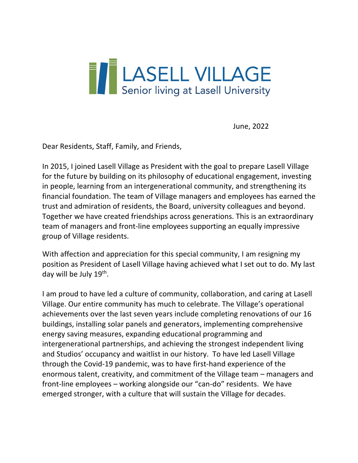

June, 2022

Dear Residents, Staff, Family, and Friends,

In 2015, I joined Lasell Village as President with the goal to prepare Lasell Village for the future by building on its philosophy of educational engagement, investing in people, learning from an intergenerational community, and strengthening its financial foundation. The team of Village managers and employees has earned the trust and admiration of residents, the Board, university colleagues and beyond. Together we have created friendships across generations. This is an extraordinary team of managers and front-line employees supporting an equally impressive group of Village residents.

With affection and appreciation for this special community, I am resigning my position as President of Lasell Village having achieved what I set out to do. My last day will be July 19th.

I am proud to have led a culture of community, collaboration, and caring at Lasell Village. Our entire community has much to celebrate. The Village's operational achievements over the last seven years include completing renovations of our 16 buildings, installing solar panels and generators, implementing comprehensive energy saving measures, expanding educational programming and intergenerational partnerships, and achieving the strongest independent living and Studios' occupancy and waitlist in our history. To have led Lasell Village through the Covid-19 pandemic, was to have first-hand experience of the enormous talent, creativity, and commitment of the Village team – managers and front-line employees – working alongside our "can-do" residents. We have emerged stronger, with a culture that will sustain the Village for decades.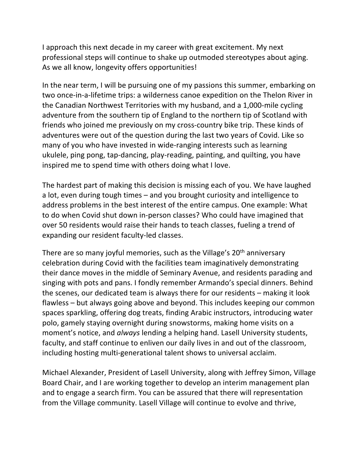I approach this next decade in my career with great excitement. My next professional steps will continue to shake up outmoded stereotypes about aging. As we all know, longevity offers opportunities!

In the near term, I will be pursuing one of my passions this summer, embarking on two once-in-a-lifetime trips: a wilderness canoe expedition on the Thelon River in the Canadian Northwest Territories with my husband, and a 1,000-mile cycling adventure from the southern tip of England to the northern tip of Scotland with friends who joined me previously on my cross-country bike trip. These kinds of adventures were out of the question during the last two years of Covid. Like so many of you who have invested in wide-ranging interests such as learning ukulele, ping pong, tap-dancing, play-reading, painting, and quilting, you have inspired me to spend time with others doing what I love.

The hardest part of making this decision is missing each of you. We have laughed a lot, even during tough times – and you brought curiosity and intelligence to address problems in the best interest of the entire campus. One example: What to do when Covid shut down in-person classes? Who could have imagined that over 50 residents would raise their hands to teach classes, fueling a trend of expanding our resident faculty-led classes.

There are so many joyful memories, such as the Village's 20<sup>th</sup> anniversary celebration during Covid with the facilities team imaginatively demonstrating their dance moves in the middle of Seminary Avenue, and residents parading and singing with pots and pans. I fondly remember Armando's special dinners. Behind the scenes, our dedicated team is always there for our residents – making it look flawless – but always going above and beyond. This includes keeping our common spaces sparkling, offering dog treats, finding Arabic instructors, introducing water polo, gamely staying overnight during snowstorms, making home visits on a moment's notice, and *always* lending a helping hand. Lasell University students, faculty, and staff continue to enliven our daily lives in and out of the classroom, including hosting multi-generational talent shows to universal acclaim.

Michael Alexander, President of Lasell University, along with Jeffrey Simon, Village Board Chair, and I are working together to develop an interim management plan and to engage a search firm. You can be assured that there will representation from the Village community. Lasell Village will continue to evolve and thrive,